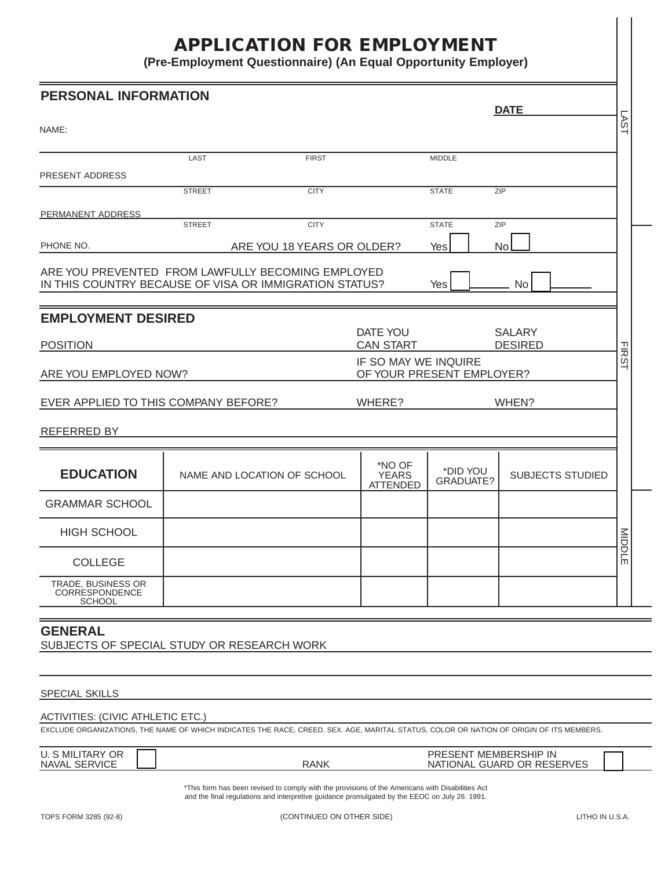## **APPLICATION FOR EMPLOYMENT**

**(Pre-Employment Questionnaire) (An Equal Opportunity Employer)**

| <b>PERSONAL INFORMATION</b>                                                                                                                                                         |               |                                                                                                                                                                                                   |                                                   |                       | <b>DATE</b>                |                  |
|-------------------------------------------------------------------------------------------------------------------------------------------------------------------------------------|---------------|---------------------------------------------------------------------------------------------------------------------------------------------------------------------------------------------------|---------------------------------------------------|-----------------------|----------------------------|------------------|
| NAME:                                                                                                                                                                               |               |                                                                                                                                                                                                   |                                                   |                       |                            | LSV <sub>1</sub> |
|                                                                                                                                                                                     | LAST          | <b>FIRST</b>                                                                                                                                                                                      |                                                   | <b>MIDDLE</b>         |                            |                  |
| PRESENT ADDRESS                                                                                                                                                                     |               |                                                                                                                                                                                                   |                                                   |                       |                            |                  |
|                                                                                                                                                                                     | <b>STREET</b> | <b>CITY</b>                                                                                                                                                                                       |                                                   | <b>STATE</b>          | ZIP                        |                  |
| PERMANENT ADDRESS                                                                                                                                                                   |               |                                                                                                                                                                                                   |                                                   |                       |                            |                  |
|                                                                                                                                                                                     | <b>STREET</b> | <b>CITY</b>                                                                                                                                                                                       |                                                   | <b>STATE</b>          | ZIP                        |                  |
| PHONE NO.                                                                                                                                                                           |               | ARE YOU 18 YEARS OR OLDER?                                                                                                                                                                        |                                                   | Yes                   | No                         |                  |
| ARE YOU PREVENTED FROM LAWFULLY BECOMING EMPLOYED<br>IN THIS COUNTRY BECAUSE OF VISA OR IMMIGRATION STATUS?                                                                         |               |                                                                                                                                                                                                   |                                                   | Yes                   | No                         |                  |
| <b>EMPLOYMENT DESIRED</b>                                                                                                                                                           |               |                                                                                                                                                                                                   | DATE YOU                                          |                       | <b>SALARY</b>              |                  |
| <b>CAN START</b><br><b>DESIRED</b><br><b>POSITION</b>                                                                                                                               |               |                                                                                                                                                                                                   |                                                   |                       |                            |                  |
| ARE YOU EMPLOYED NOW?                                                                                                                                                               |               |                                                                                                                                                                                                   | IF SO MAY WE INQUIRE<br>OF YOUR PRESENT EMPLOYER? |                       |                            | <b>FIRST</b>     |
| EVER APPLIED TO THIS COMPANY BEFORE?<br>WHERE?                                                                                                                                      |               |                                                                                                                                                                                                   |                                                   | WHEN?                 |                            |                  |
| <b>REFERRED BY</b>                                                                                                                                                                  |               |                                                                                                                                                                                                   |                                                   |                       |                            |                  |
| <b>EDUCATION</b>                                                                                                                                                                    |               | NAME AND LOCATION OF SCHOOL                                                                                                                                                                       | *NO OF<br><b>YEARS</b><br><b>ATTENDED</b>         | *DID YOU<br>GRADUATE? | <b>SUBJECTS STUDIED</b>    |                  |
| <b>GRAMMAR SCHOOL</b>                                                                                                                                                               |               |                                                                                                                                                                                                   |                                                   |                       |                            |                  |
| <b>HIGH SCHOOL</b>                                                                                                                                                                  |               |                                                                                                                                                                                                   |                                                   |                       |                            | MIDDLE           |
| <b>COLLEGE</b>                                                                                                                                                                      |               |                                                                                                                                                                                                   |                                                   |                       |                            |                  |
| TRADE, BUSINESS OR<br>CORRESPONDENCE<br><b>SCHOOL</b>                                                                                                                               |               |                                                                                                                                                                                                   |                                                   |                       |                            |                  |
| <b>GENERAL</b>                                                                                                                                                                      |               |                                                                                                                                                                                                   |                                                   |                       |                            |                  |
| SUBJECTS OF SPECIAL STUDY OR RESEARCH WORK                                                                                                                                          |               |                                                                                                                                                                                                   |                                                   |                       |                            |                  |
| <b>SPECIAL SKILLS</b>                                                                                                                                                               |               |                                                                                                                                                                                                   |                                                   |                       |                            |                  |
| <b>ACTIVITIES: (CIVIC ATHLETIC ETC.)</b><br>EXCLUDE ORGANIZATIONS, THE NAME OF WHICH INDICATES THE RACE, CREED. SEX. AGE, MARITAL STATUS, COLOR OR NATION OF ORIGIN OF ITS MEMBERS. |               |                                                                                                                                                                                                   |                                                   |                       |                            |                  |
| <b>U. S MILITARY OR</b><br>NAVAL SERVICE                                                                                                                                            |               | <b>RANK</b>                                                                                                                                                                                       |                                                   | PRESENT MEMBERSHIP IN | NATIONAL GUARD OR RESERVES |                  |
|                                                                                                                                                                                     |               | *This form has been revised to comply with the provisions of the Americans with Disabilities Act<br>and the final regulations and interpretive guidance promulgated by the EEOC on July 26. 1991. |                                                   |                       |                            |                  |
| TOPS FORM 3285 (92-8)                                                                                                                                                               |               | (CONTINUED ON OTHER SIDE)                                                                                                                                                                         |                                                   |                       | LITHO IN U.S.A.            |                  |